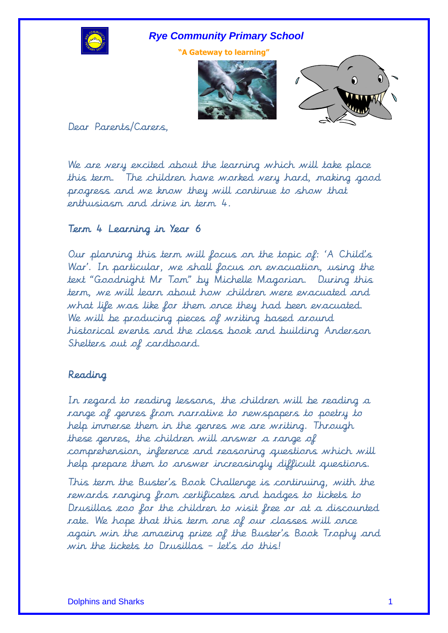

**"A Gateway to learning"**





Dear Parents/Carers,

We are very excited about the learning which will take place this term. The children have worked very hard, making good progress and we know they will continue to show that enthusiasm and drive in term 4.

# Term 4 Learning in Year 6

Our planning this term will focus on the topic of: 'A Child's War'. In particular, we shall focus on evacuation, using the text "Goodnight Mr Tom" by Michelle Magorian. During this term, we will learn about how children were evacuated and what life was like for them once they had been evacuated. We will be producing pieces of writing based around historical events and the class book and building Anderson Shelters out of cardboard.

# Reading

In regard to reading lessons, the children will be reading a range of genres from narrative to newspapers to poetry to help immerse them in the genres we are writing. Through these genres, the children will answer a range of comprehension, inference and reasoning questions which will help prepare them to answer increasingly difficult questions.

This term the Buster's Book Challenge is continuing, with the rewards ranging from certificates and badges to tickets to Drusillas zoo for the children to visit free or at a discounted rate. We hope that this term one of our classes will once again win the amazing prize of the Buster's Book Trophy and win the tickets to Drusillas - let's do this!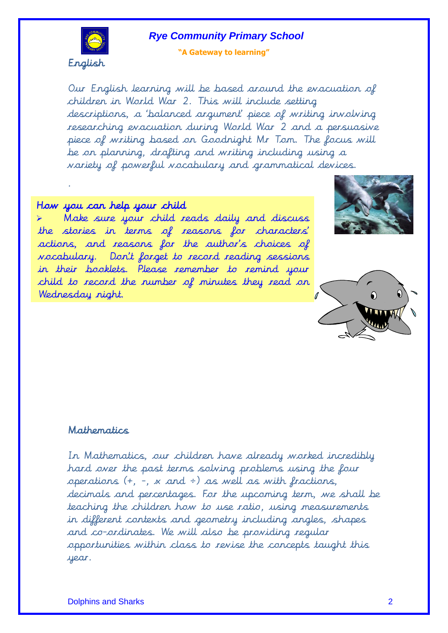

#### **"A Gateway to learning"**

Our English learning will be based around the evacuation of children in World War 2. This will include setting descriptions, a 'balanced argument' piece of writing involving researching evacuation during World War 2 and a persuasive piece of writing based on Goodnight Mr Tom. The focus will be on planning, drafting and writing including using a variety of powerful vocabulary and grammatical devices.

## How you can help your child

.

 Make sure your child reads daily and discuss the stories in terms of reasons for characters' actions, and reasons for the author's choices of vocabulary. Don't forget to record reading sessions in their booklets. Please remember to remind your child to record the number of minutes they read on Wednesday night.





#### Mathematics

In Mathematics, our children have already worked incredibly hard over the past terms solving problems using the four operations (+, -, x and ÷) as well as with fractions, decimals and percentages. For the upcoming term, we shall be teaching the children how to use ratio, using measurements in different contexts and geometry including angles, shapes and co-ordinates. We will also be providing regular opportunities within class to revise the concepts taught this year.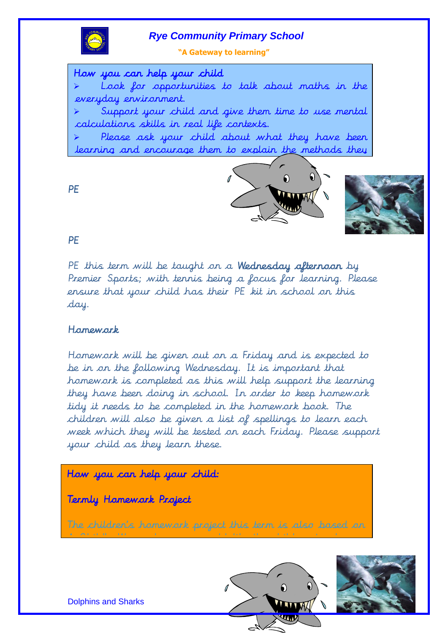

**"A Gateway to learning"**

Ē How you can help your child

 Look for opportunities to talk about maths in the everyday environment.

 Support your child and give them time to use mental calculations skills in real life contexts.

 Please ask your child about what they have been learning and encourage them to explain the methods they





**PE** 

## PE

PE this term will be taught on a Wednesday afternoon by Premier Sports; with tennis being a focus for learning. Please ensure that your child has their PE kit in school on this day.

## Homework

Homework will be given out on a Friday and is expected to be in on the following Wednesday. It is important that homework is completed as this will help support the learning they have been doing in school. In order to keep homework tidy it needs to be completed in the homework book. The children will also be given a list of spellings to learn each week which they will be tested on each Friday. Please support your child as they learn these.

# How you can help your child:

Termly Homework Project

The children's homework project this term is also based on

A Child's War, where we would like the children to choose





Dolphins and Sharks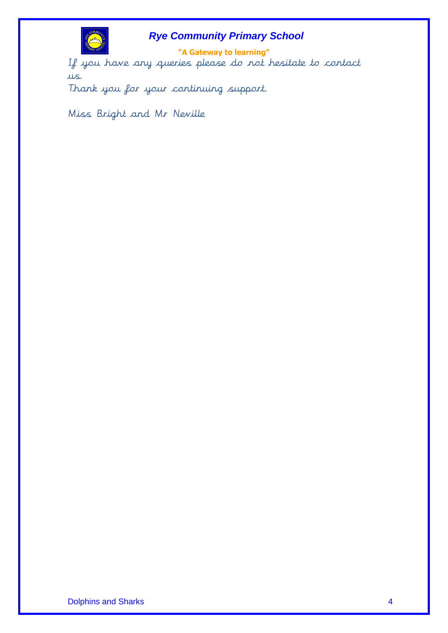

**"A Gateway to learning"** If you have any queries please do not hesitate to contact us.

Thank you for your continuing support.

Miss Bright and Mr Neville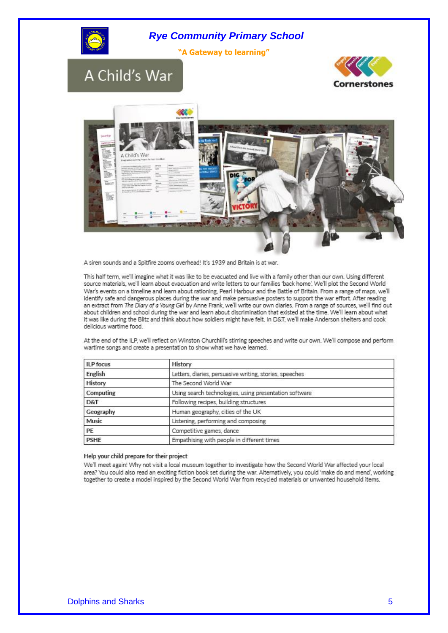





A siren sounds and a Spitfire zooms overhead! It's 1939 and Britain is at war.

This half term, we'll imagine what it was like to be evacuated and live with a family other than our own. Using different source materials, we'll learn about evacuation and write letters to our families 'back home'. We'll plot the Second World War's events on a timeline and learn about rationing, Pearl Harbour and the Battle of Britain. From a range of maps, we'll identify safe and dangerous places during the war and make persuasive posters to support the war effort. After reading an extract from The Diary of a Young Girl by Anne Frank, we'll write our own diaries. From a range of sources, we'll find out about children and school during the war and learn about discrimination that existed at the time. We'll learn about what it was like during the Blitz and think about how soldiers might have felt. In D&T, we'll make Anderson shelters and cook delicious wartime food.

At the end of the ILP, we'll reflect on Winston Churchill's stirring speeches and write our own. We'll compose and perform wartime songs and create a presentation to show what we have learned.

| <b>ILP</b> focus | History                                                 |  |
|------------------|---------------------------------------------------------|--|
| English          | Letters, diaries, persuasive writing, stories, speeches |  |
| History          | The Second World War                                    |  |
| Computing        | Using search technologies, using presentation software  |  |
| D&T              | Following recipes, building structures                  |  |
| Geography        | Human geography, cities of the UK                       |  |
| Music            | Listening, performing and composing                     |  |
| PE               | Competitive games, dance                                |  |
| <b>PSHE</b>      | Empathising with people in different times              |  |

#### Help your child prepare for their project

We'll meet again! Why not visit a local museum together to investigate how the Second World War affected your local area? You could also read an exciting fiction book set during the war. Alternatively, you could 'make do and mend', working together to create a model inspired by the Second World War from recycled materials or unwanted household items.